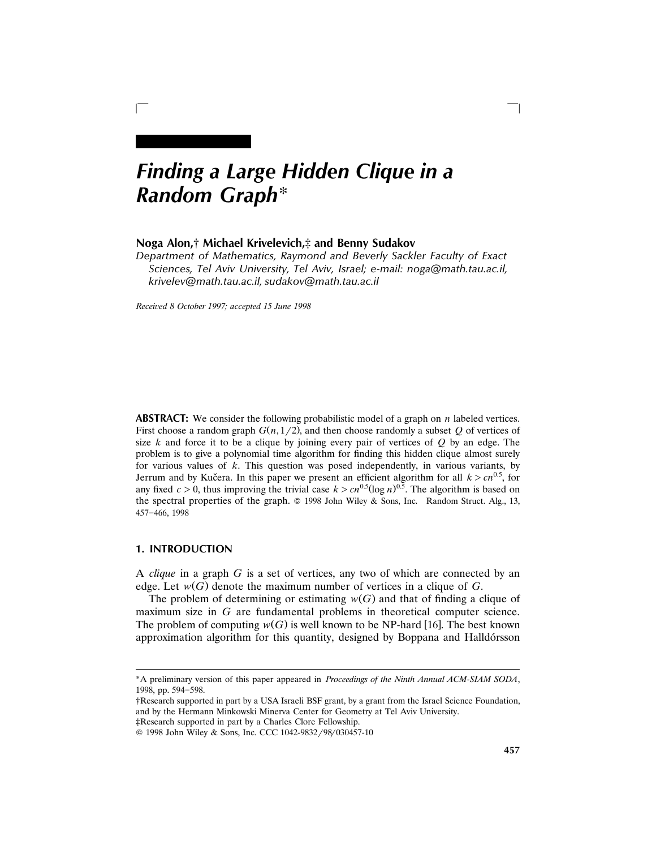# *Finding a Large Hidden Clique in a Random Graph*\*

## **Noga Alon,**† **Michael Krivelevich,**‡ **and Benny Sudakov**

*Department of Mathematics, Raymond and Beverly Sackler Faculty of Exact Sciences, Tel Aviv University, Tel Aviv, Israel; e-mail: noga@math.tau.ac.il, krivelev@math.tau.ac.il, sudakov@math.tau.ac.il*

 $\Box$ 

*Recei*¨*ed 8 October 1997; accepted 15 June 1998*

**ABSTRACT:** We consider the following probabilistic model of a graph on *n* labeled vertices. First choose a random graph  $G(n, 1/2)$ , and then choose randomly a subset  $Q$  of vertices of size *k* and force it to be a clique by joining every pair of vertices of *Q* by an edge. The problem is to give a polynomial time algorithm for finding this hidden clique almost surely for various values of *k*. This question was posed independently, in various variants, by Jerrum and by Kučera. In this paper we present an efficient algorithm for all  $k > cn^{0.5}$ , for any fixed  $c > 0$ , thus improving the trivial case  $k > cn^{0.5}(\log n)^{0.5}$ . The algorithm is based on the spectral properties of the graph.  $\circledcirc$  1998 John Wiley & Sons, Inc. Random Struct. Alg., 13, 457-466, 1998

## **1. INTRODUCTION**

A *clique* in a graph *G* is a set of vertices, any two of which are connected by an edge. Let  $w(G)$  denote the maximum number of vertices in a clique of G.

The problem of determining or estimating  $w(G)$  and that of finding a clique of maximum size in *G* are fundamental problems in theoretical computer science. The problem of computing  $w(G)$  is well known to be NP-hard [16]. The best known approximation algorithm for this quantity, designed by Boppana and Halldórsson

<sup>\*</sup>A preliminary version of this paper appeared in *Proceedings of the Ninth Annual ACM*-*SIAM SODA*, 1998, pp. 594-598.

<sup>†</sup>Research supported in part by a USA Israeli BSF grant, by a grant from the Israel Science Foundation, and by the Hermann Minkowski Minerva Center for Geometry at Tel Aviv University.

<sup>‡</sup>Research supported in part by a Charles Clore Fellowship.

<sup>© 1998</sup> John Wiley & Sons, Inc. CCC 1042-9832/98/030457-10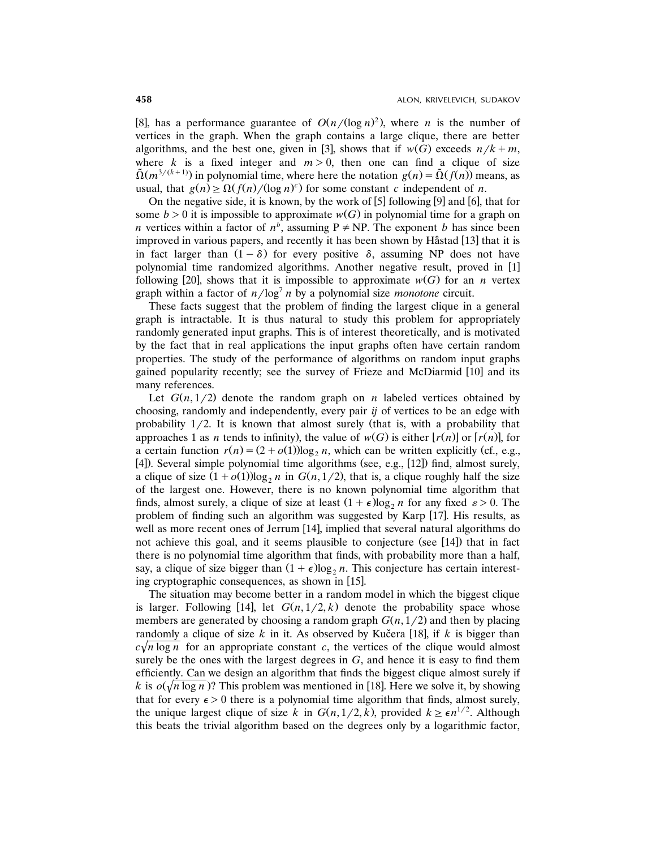[8], has a performance guarantee of  $O(n/(\log n)^2)$ , where *n* is the number of vertices in the graph. When the graph contains a large clique, there are better algorithms, and the best one, given in [3], shows that if  $w(G)$  exceeds  $n/k+m$ , where *k* is a fixed integer and  $m > 0$ , then one can find a clique of size  $\tilde{\Omega}(m^{3/(k+1)})$  in polynomial time, where here the notation  $g(n) = \tilde{\Omega}(f(n))$  means, as usual, that  $g(n) \ge \Omega(f(n) / (\log n)^c)$  for some constant *c* independent of *n*.

On the negative side, it is known, by the work of  $[5]$  following  $[9]$  and  $[6]$ , that for some  $b > 0$  it is impossible to approximate  $w(G)$  in polynomial time for a graph on *n* vertices within a factor of  $n^b$ , assuming  $P \ne NP$ . The exponent *b* has since been improved in various papers, and recently it has been shown by Håstad [13] that it is in fact larger than  $(1 - \delta)$  for every positive  $\delta$ , assuming NP does not have polynomial time randomized algorithms. Another negative result, proved in [1] following [20], shows that it is impossible to approximate  $w(G)$  for an *n* vertex graph within a factor of  $n/log<sup>7</sup> n$  by a polynomial size *monotone* circuit.

These facts suggest that the problem of finding the largest clique in a general graph is intractable. It is thus natural to study this problem for appropriately randomly generated input graphs. This is of interest theoretically, and is motivated by the fact that in real applications the input graphs often have certain random properties. The study of the performance of algorithms on random input graphs gained popularity recently; see the survey of Frieze and McDiarmid [10] and its many references.

Let  $G(n, 1/2)$  denote the random graph on *n* labeled vertices obtained by choosing, randomly and independently, every pair *ij* of vertices to be an edge with probability  $1/2$ . It is known that almost surely (that is, with a probability that approaches 1 as *n* tends to infinity), the value of  $w(G)$  is either  $\lfloor r(n) \rfloor$  or  $\lfloor r(n) \rfloor$ , for a certain function  $r(n) = (2 + o(1))\log_2 n$ , which can be written explicitly (cf., e.g.,  $[4]$ ). Several simple polynomial time algorithms (see, e.g.,  $[12]$ ) find, almost surely, a clique of size  $(1 + o(1))\log_2 n$  in  $G(n, 1/2)$ , that is, a clique roughly half the size of the largest one. However, there is no known polynomial time algorithm that finds, almost surely, a clique of size at least  $(1+\epsilon)\log_2 n$  for any fixed  $\varepsilon > 0$ . The problem of finding such an algorithm was suggested by Karp [17]. His results, as well as more recent ones of Jerrum  $[14]$ , implied that several natural algorithms do not achieve this goal, and it seems plausible to conjecture (see [14]) that in fact there is no polynomial time algorithm that finds, with probability more than a half, say, a clique of size bigger than  $(1 + \epsilon) \log_2 n$ . This conjecture has certain interesting cryptographic consequences, as shown in  $[15]$ .

The situation may become better in a random model in which the biggest clique is larger. Following [14], let  $G(n, 1/2, k)$  denote the probability space whose members are generated by choosing a random graph  $G(n, 1/2)$  and then by placing randomly a clique of size  $k$  in it. As observed by Kučera [18], if  $k$  is bigger than  $c\sqrt{n} \log n$  for an appropriate constant *c*, the vertices of the clique would almost surely be the ones with the largest degrees in *G*, and hence it is easy to find them efficiently. Can we design an algorithm that finds the biggest clique almost surely if *k* is  $o(\sqrt{n} \log n)$ ? This problem was mentioned in [18]. Here we solve it, by showing that for every  $\epsilon > 0$  there is a polynomial time algorithm that finds, almost surely, the unique largest clique of size *k* in  $G(n, 1/2, k)$ , provided  $k \geq \epsilon n^{1/2}$ . Although this beats the trivial algorithm based on the degrees only by a logarithmic factor,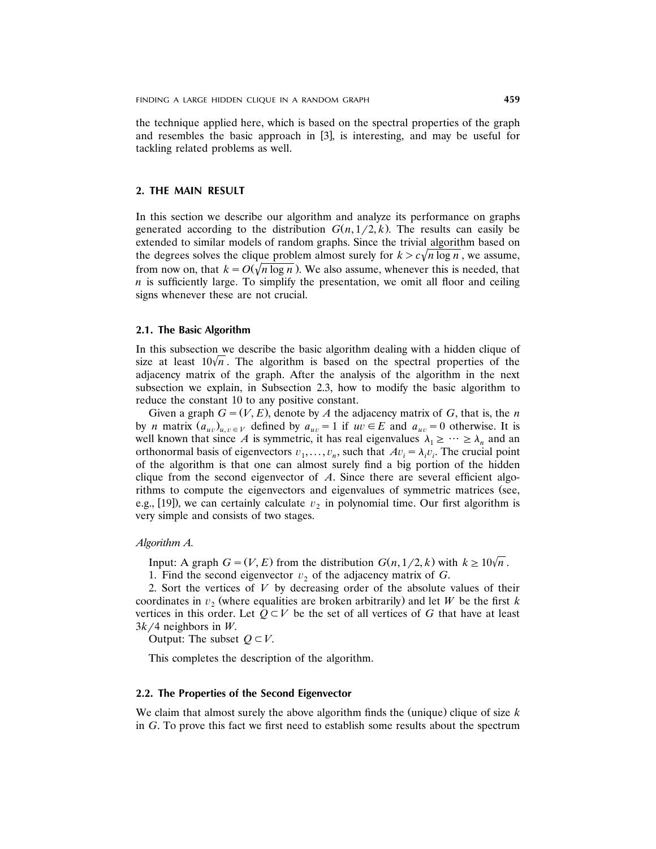the technique applied here, which is based on the spectral properties of the graph and resembles the basic approach in  $\left[3\right]$ , is interesting, and may be useful for tackling related problems as well.

### **2. THE MAIN RESULT**

In this section we describe our algorithm and analyze its performance on graphs generated according to the distribution  $G(n, 1/2, k)$ . The results can easily be extended to similar models of random graphs. Since the trivial algorithm based on the degrees solves the clique problem almost surely for  $k > c\sqrt{n \log n}$ , we assume, from now on, that  $k = O(\sqrt{n} \log n)$ . We also assume, whenever this is needed, that  $n$  is sufficiently large. To simplify the presentation, we omit all floor and ceiling signs whenever these are not crucial.

### **2.1. The Basic Algorithm**

In this subsection we describe the basic algorithm dealing with a hidden clique of size at least  $10\sqrt{n}$ . The algorithm is based on the spectral properties of the adjacency matrix of the graph. After the analysis of the algorithm in the next subsection we explain, in Subsection 2.3, how to modify the basic algorithm to reduce the constant 10 to any positive constant.

Given a graph  $G = (V, E)$ , denote by *A* the adjacency matrix of *G*, that is, the *n* by *n* matrix  $(a_{uv})_{u,v \in V}$  defined by  $a_{uv} = 1$  if  $uv \in E$  and  $a_{uv} = 0$  otherwise. It is well known that since A is symmetric, it has real eigenvalues  $\lambda_1 \geq \cdots \geq \lambda_n$  and an orthonormal basis of eigenvectors  $v_1, \ldots, v_n$ , such that  $Av_i = \lambda_i v_i$ . The crucial point of the algorithm is that one can almost surely find a big portion of the hidden clique from the second eigenvector of *A*. Since there are several efficient algorithms to compute the eigenvectors and eigenvalues of symmetric matrices (see, e.g., [19]), we can certainly calculate  $v_2$  in polynomial time. Our first algorithm is very simple and consists of two stages.

#### *Algorithm A.*

Input: A graph  $G = (V, E)$  from the distribution  $G(n, 1/2, k)$  with  $k \geq 10\sqrt{n}$ .

1. Find the second eigenvector  $v_2$  of the adjacency matrix of *G*.

2. Sort the vertices of *V* by decreasing order of the absolute values of their coordinates in  $v_2$  (where equalities are broken arbitrarily) and let *W* be the first *k* vertices in this order. Let  $Q \subset V$  be the set of all vertices of *G* that have at least  $3k/4$  neighbors in W.

Output: The subset  $Q \subset V$ .

This completes the description of the algorithm.

### **2.2. The Properties of the Second Eigenvector**

We claim that almost surely the above algorithm finds the (unique) clique of size *k* in *G*. To prove this fact we first need to establish some results about the spectrum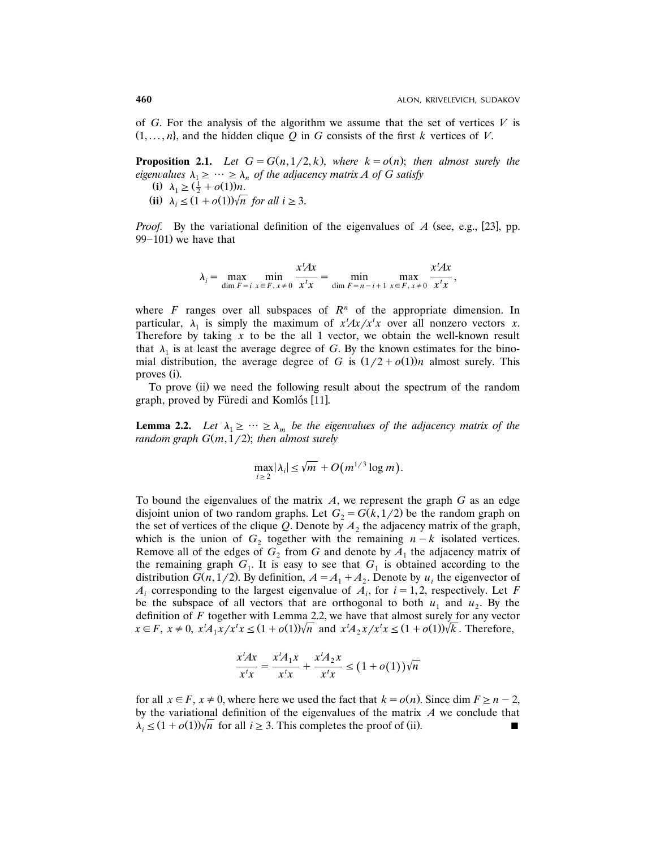of  $G$ . For the analysis of the algorithm we assume that the set of vertices  $V$  is  $(1, \ldots, n)$ , and the hidden clique *Q* in *G* consists of the first *k* vertices of *V*.

**Proposition 2.1.** *Let*  $G = G(n, 1/2, k)$ , where  $k = o(n)$ ; *then almost surely the eigenvalues*  $\lambda_1 \geq \cdots \geq \lambda_n$  *of the adjacency matrix A of G satisfy* (i)  $\lambda_1 \geq (\frac{1}{2} + o(1))n$ .

(ii)  $\lambda_i \leq (1 + o(1))\sqrt{n}$  *for all*  $i \geq 3$ .

*Proof.* By the variational definition of the eigenvalues of  $A$  (see, e.g., [23], pp.  $99-101$ ) we have that

> *x <sup>t</sup>Ax x <sup>t</sup>Ax*  $\lambda_i = \max_{\dim F = i} \min_{x \in F, x \neq 0} \frac{\pi}{x^t x} = \min_{\dim F = n - i + 1} \max_{x \in F, x \neq 0} \frac{\pi}{x^t x},$

where  $F$  ranges over all subspaces of  $R<sup>n</sup>$  of the appropriate dimension. In particular,  $\lambda_1$  is simply the maximum of  $x^t A x / x^t x$  over all nonzero vectors *x*. Therefore by taking  $x$  to be the all 1 vector, we obtain the well-known result that  $\lambda_1$  is at least the average degree of *G*. By the known estimates for the binomial distribution, the average degree of *G* is  $(1/2 + o(1))n$  almost surely. This proves (i).

To prove (ii) we need the following result about the spectrum of the random graph, proved by Füredi and Komlós [11].

**Lemma 2.2.** Let  $\lambda_1 \geq \cdots \geq \lambda_m$  be the eigenvalues of the adjacency matrix of the *random graph*  $G(m, 1/2)$ ; *then almost surely* 

$$
\max_{i\geq 2}|\lambda_i|\leq \sqrt{m}+O\big(m^{1/3}\log m\big).
$$

To bound the eigenvalues of the matrix *A*, we represent the graph *G* as an edge disjoint union of two random graphs. Let  $G_2 = G(k, 1/2)$  be the random graph on the set of vertices of the clique *Q*. Denote by  $A_2$  the adjacency matrix of the graph, which is the union of  $G_2$  together with the remaining  $n-k$  isolated vertices. Remove all of the edges of  $G_2$  from  $G$  and denote by  $A_1$  the adjacency matrix of the remaining graph  $G_1$ . It is easy to see that  $G_1$  is obtained according to the distribution *G*(*n*, 1/2). By definition,  $A = A_1 + A_2$ . Denote by  $u_i$  the eigenvector of  $A_i$  corresponding to the largest eigenvalue of  $A_i$ , for  $i = 1, 2$ , respectively. Let *F* be the subspace of all vectors that are orthogonal to both  $u_1$  and  $u_2$ . By the definition of *F* together with Lemma 2.2, we have that almost surely for any vector  $x \in F$ ,  $x \neq 0$ ,  $x^t A_1 x / x^t x \leq (1 + o(1))\sqrt{n}$  and  $x^t A_2 x / x^t x \leq (1 + o(1))\sqrt{k}$ . Therefore,

$$
\frac{x^t A x}{x^t x} = \frac{x^t A_1 x}{x^t x} + \frac{x^t A_2 x}{x^t x} \le (1 + o(1)) \sqrt{n}
$$

for all  $x \in F$ ,  $x \neq 0$ , where here we used the fact that  $k = o(n)$ . Since dim  $F \geq n - 2$ , by the variational definition of the eigenvalues of the matrix *A* we conclude that  $\lambda_i \leq (1 + o(1))\sqrt{n}$  for all  $i \geq 3$ . This completes the proof of (ii).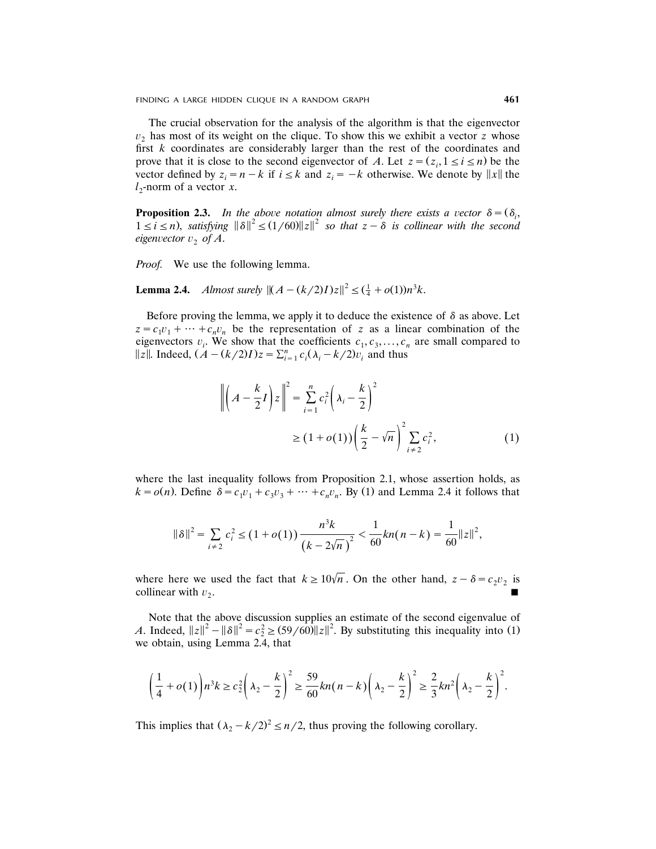FINDING A LARGE HIDDEN CLIQUE IN A RANDOM GRAPH **461**

The crucial observation for the analysis of the algorithm is that the eigenvector  $v<sub>2</sub>$  has most of its weight on the clique. To show this we exhibit a vector *z* whose first *k* coordinates are considerably larger than the rest of the coordinates and prove that it is close to the second eigenvector of *A*. Let  $z = (z_i, 1 \le i \le n)$  be the vector defined by  $z_i = n - k$  if  $i \le k$  and  $z_i = -k$  otherwise. We denote by  $||x||$  the  $l_2$ -norm of a vector *x*.

**Proposition 2.3.** In the above notation almost surely there exists a vector  $\delta = (\delta_i, \delta_j)$  $1 \le i \le n$ , *satisfying*  $\|\delta\|^2 \le (1/60) \|z\|^2$  *so that*  $z - \delta$  *is collinear with the second eigenvector*  $v_2$  *of* A.

*Proof.* We use the following lemma.

**Lemma 2.4.** *Almost surely*  $||(A - (k/2)I)z||^2 \leq (\frac{1}{4} + o(1))n^3k$ .

Before proving the lemma, we apply it to deduce the existence of  $\delta$  as above. Let  $z = c_1 v_1 + \dots + c_n v_n$  be the representation of *z* as a linear combination of the eigenvectors  $v_i$ . We show that the coefficients  $c_1, c_3, \ldots, c_n$  are small compared to  $||z||$ . Indeed,  $(A - (k/2)I)z = \sum_{i=1}^{n} c_i(\lambda_i - k/2)v_i$  and thus

$$
\left\| \left(A - \frac{k}{2}I\right)z \right\|^2 = \sum_{i=1}^n c_i^2 \left(\lambda_i - \frac{k}{2}\right)^2
$$
  
\n
$$
\geq (1 + o(1)) \left(\frac{k}{2} - \sqrt{n}\right)^2 \sum_{i \neq 2} c_i^2,
$$
 (1)

where the last inequality follows from Proposition 2.1, whose assertion holds, as  $k = o(n)$ . Define  $\delta = c_1v_1 + c_3v_3 + \cdots + c_nv_n$ . By (1) and Lemma 2.4 it follows that

$$
\|\delta\|^2 = \sum_{i \neq 2} c_i^2 \le (1 + o(1)) \frac{n^3 k}{(k - 2\sqrt{n})^2} < \frac{1}{60} k n(n - k) = \frac{1}{60} \|z\|^2,
$$

where here we used the fact that  $k \ge 10\sqrt{n}$ . On the other hand,  $z - \delta = c_2v_2$  is collinear with  $v_2$ . . Because the contract of the contract of the contract of the contract of the contract of the contract of the c

Note that the above discussion supplies an estimate of the second eigenvalue of A. Indeed,  $||z||^2 - ||\delta||^2 = c_2^2 \ge (59/60) ||z||^2$ . By substituting this inequality into (1) we obtain, using Lemma 2.4, that

$$
\left(\frac{1}{4}+o(1)\right)n^3k \ge c_2^2\left(\lambda_2-\frac{k}{2}\right)^2 \ge \frac{59}{60}kn(n-k)\left(\lambda_2-\frac{k}{2}\right)^2 \ge \frac{2}{3}kn^2\left(\lambda_2-\frac{k}{2}\right)^2.
$$

This implies that  $(\lambda_2 - k/2)^2 \le n/2$ , thus proving the following corollary.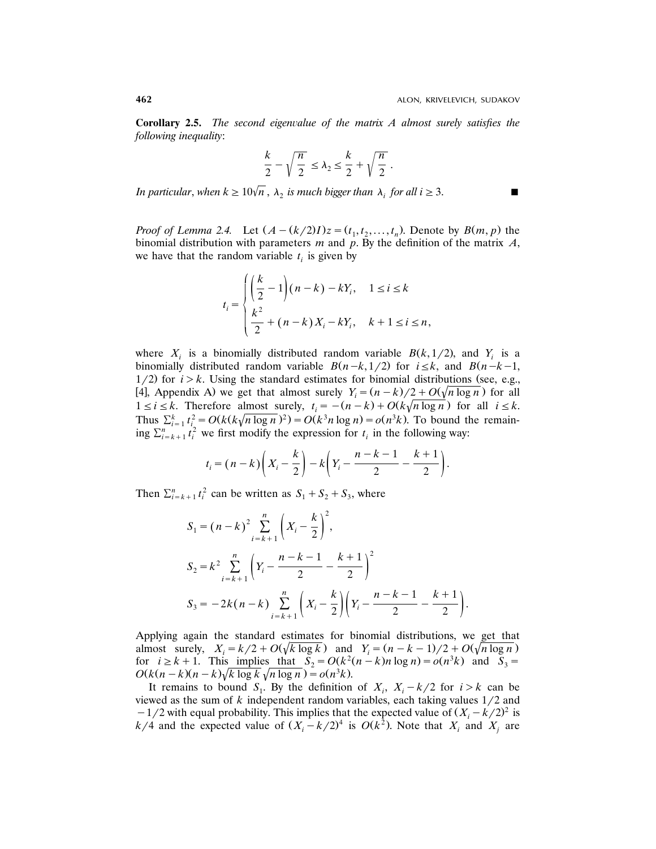**Corollary 2.5.** *The second eigenvalue of the matrix A almost surely satisfies the following inequality*:

$$
\frac{k}{2} - \sqrt{\frac{n}{2}} \le \lambda_2 \le \frac{k}{2} + \sqrt{\frac{n}{2}}.
$$

*In particular, when*  $k \ge 10\sqrt{n}$ ,  $\lambda_2$  *is much bigger than*  $\lambda_i$  *for all*  $i \ge 3$ .

*Proof of Lemma* 2.4. Let  $(A - (k/2)I)z = (t_1, t_2, ..., t_n)$ . Denote by  $B(m, p)$  the binomial distribution with parameters *m* and *p*. By the definition of the matrix *A*, we have that the random variable  $t_i$  is given by

$$
t_i = \begin{cases} \left(\frac{k}{2} - 1\right)(n - k) - kY_i, & 1 \le i \le k\\ \frac{k^2}{2} + (n - k)X_i - kY_i, & k + 1 \le i \le n, \end{cases}
$$

where  $X_i$  is a binomially distributed random variable  $B(k, 1/2)$ , and  $Y_i$  is a binomially distributed random variable  $B(n-k, 1/2)$  for  $i \le k$ , and  $B(n-k-1)$ ,  $1/2$ ) for  $i > k$ . Using the standard estimates for binomial distributions (see, e.g., [4], Appendix A) we get that almost surely  $Y_i = (n - k)/2 + O(\sqrt{n \log n})$  for all  $1 \le i \le k$ . Therefore almost surely,  $t_i = -(n-k) + O(k\sqrt{n \log n})$  for all  $i \le k$ . *k* 2  $\sum_{i=1}^{k} t_i^2 = O(k(k\sqrt{n \log n})^2) = O(k^3 n \log n) = o(n^3 k)$ . To bound the remaining  $\sum_{i=k+1}^{n} t_i^2$  we first modify the expression for  $t_i$  in the following way:

$$
t_i = (n-k)\left(X_i - \frac{k}{2}\right) - k\left(Y_i - \frac{n-k-1}{2} - \frac{k+1}{2}\right).
$$

Then  $\sum_{i=k+1}^{n} t_i^2$  can be written as  $S_1 + S_2 + S_3$ , where

$$
S_1 = (n - k)^2 \sum_{i = k + 1}^{n} \left( X_i - \frac{k}{2} \right)^2,
$$
  
\n
$$
S_2 = k^2 \sum_{i = k + 1}^{n} \left( Y_i - \frac{n - k - 1}{2} - \frac{k + 1}{2} \right)^2
$$
  
\n
$$
S_3 = -2k(n - k) \sum_{i = k + 1}^{n} \left( X_i - \frac{k}{2} \right) \left( Y_i - \frac{n - k - 1}{2} - \frac{k + 1}{2} \right).
$$

Applying again the standard estimates for binomial distributions, we get that almost surely,  $X_i = k/2 + O(\sqrt{k \log k})$  and  $Y_i = (n - k - 1)/2 + O(\sqrt{n \log n})$ . for  $i \ge k + 1$ . This implies that  $S_2 = O(k^2(n-k)n \log n) = o(n^3k)$  and  $S_3 =$  $O(k(n-k)(n-k)\sqrt{k \log k} \sqrt{n \log n}) = o(n^3k)$ .

It remains to bound  $S_1$ . By the definition of  $X_i$ ,  $X_i - k/2$  for  $i > k$  can be viewed as the sum of  $k$  independent random variables, each taking values  $1/2$  and  $-1/2$  with equal probability. This implies that the expected value of  $(X_i - k/2)^2$  is  $k/4$  and the expected value of  $(X_i - k/2)^4$  is  $O(k^2)$ . Note that  $X_i$  and  $X_j$  are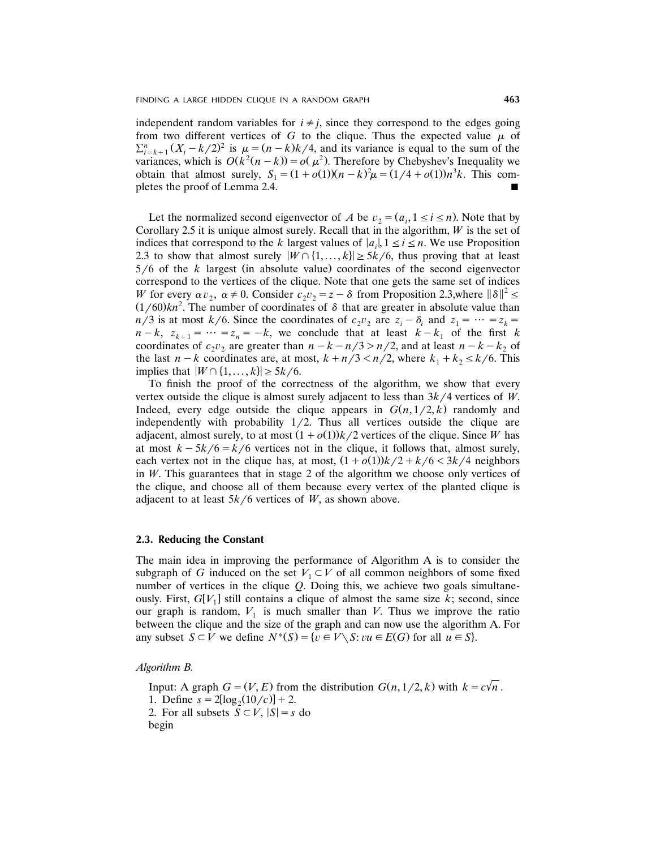independent random variables for  $i \neq j$ , since they correspond to the edges going from two different vertices of  $G$  to the clique. Thus the expected value  $\mu$  of  $\sum_{i=k+1}^{n} (X_i - k/2)^2$  is  $\mu = (n-k)k/4$ , and its variance is equal to the sum of the variances, which is  $O(k^2(n-k)) = o(\mu^2)$ . Therefore by Chebyshev's Inequality we obtain that almost surely,  $S_1 = (1 + o(1))(n - k)^2 \mu = (1/4 + o(1))n^3k$ . This completes the proof of Lemma 2.4.

Let the normalized second eigenvector of *A* be  $v_2 = (a_i, 1 \le i \le n)$ . Note that by Corollary 2.5 it is unique almost surely. Recall that in the algorithm, *W* is the set of indices that correspond to the *k* largest values of  $|a_i|, 1 \le i \le n$ . We use Proposition 2.3 to show that almost surely  $|W \cap \{1, \ldots, k\}| \ge 5k/6$ , thus proving that at least  $5/6$  of the *k* largest (in absolute value) coordinates of the second eigenvector correspond to the vertices of the clique. Note that one gets the same set of indices W for every  $\alpha v_2$ ,  $\alpha \neq 0$ . Consider  $c_2 v_2 = z - \delta$  from Proposition 2.3,where  $\|\delta\|^2 \leq$  $(1/60)kn^2$ . The number of coordinates of  $\delta$  that are greater in absolute value than  $n/3$  is at most  $k/6$ . Since the coordinates of  $c_2 v_2$  are  $z_i - \delta_i$  and  $z_1 = \cdots = z_k =$  $n-k$ ,  $z_{k+1} = \cdots = z_n = -k$ , we conclude that at least  $k - k_1$  of the first *k* coordinates of  $c_2v_2$  are greater than  $n-k-n/3 > n/2$ , and at least  $n-k-k_2$  of the last  $n-k$  coordinates are, at most,  $k+n/3\leq n/2$ , where  $k_1+k_2\leq k/6$ . This implies that  $|W \cap \{1, \ldots, k\}| \ge 5k/6$ .

To finish the proof of the correctness of the algorithm, we show that every vertex outside the clique is almost surely adjacent to less than  $3k/4$  vertices of *W*. Indeed, every edge outside the clique appears in  $G(n, 1/2, k)$  randomly and independently with probability  $1/2$ . Thus all vertices outside the clique are adjacent, almost surely, to at most  $(1 + o(1))k/2$  vertices of the clique. Since *W* has at most  $k - 5k/6 = k/6$  vertices not in the clique, it follows that, almost surely, each vertex not in the clique has, at most,  $(1 + o(1))k/2 + k/6 < 3k/4$  neighbors in *W*. This guarantees that in stage 2 of the algorithm we choose only vertices of the clique, and choose all of them because every vertex of the planted clique is adjacent to at least  $5k/6$  vertices of *W*, as shown above.

#### **2.3. Reducing the Constant**

The main idea in improving the performance of Algorithm A is to consider the subgraph of *G* induced on the set  $V_1 \subset V$  of all common neighbors of some fixed number of vertices in the clique *Q*. Doing this, we achieve two goals simultaneously. First,  $G[V_1]$  still contains a clique of almost the same size k; second, since our graph is random,  $V_1$  is much smaller than *V*. Thus we improve the ratio between the clique and the size of the graph and can now use the algorithm A. For any subset  $S \subset V$  we define  $N^*(S) = \{v \in V \setminus S : vu \in E(G) \text{ for all } u \in S\}.$ 

*Algorithm B.*

Input: A graph  $G = (V, E)$  from the distribution  $G(n, 1/2, k)$  with  $k = c\sqrt{n}$ . 1. Define  $s = 2[\log_2(10/c)] + 2$ . 2. For all subsets  $S \subset V$ ,  $|S| = s$  do begin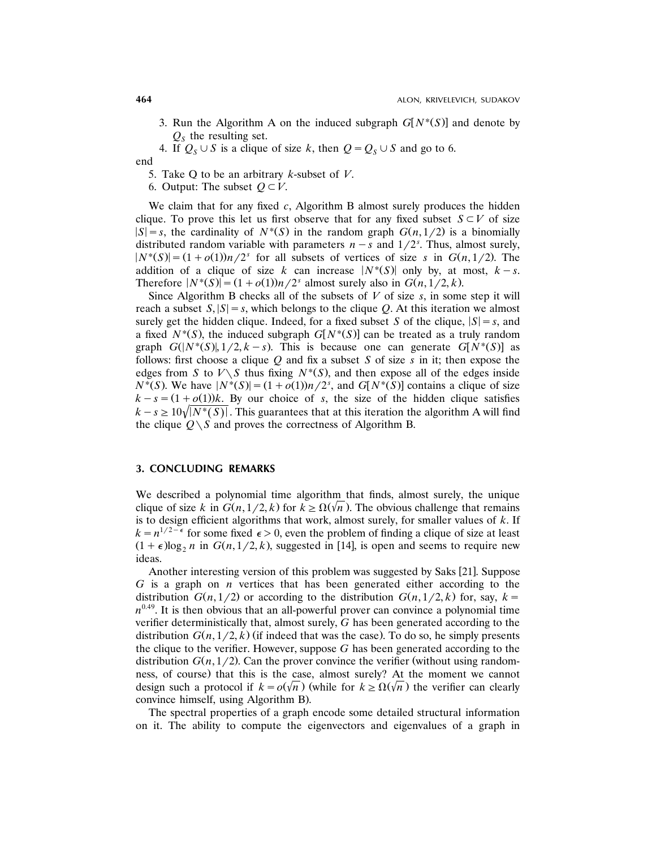3. Run the Algorithm A on the induced subgraph  $G[N^*(S)]$  and denote by  $Q<sub>S</sub>$  the resulting set.

4. If  $Q_S \cup S$  is a clique of size *k*, then  $Q = Q_S \cup S$  and go to 6.

end

5. Take Q to be an arbitrary *k*-subset of *V*.

6. Output: The subset  $Q \subset V$ .

We claim that for any fixed *c*, Algorithm B almost surely produces the hidden clique. To prove this let us first observe that for any fixed subset  $S \subset V$  of size  $|S| = s$ , the cardinality of  $N^*(S)$  in the random graph  $G(n, 1/2)$  is a binomially distributed random variable with parameters  $n - s$  and  $1/2<sup>s</sup>$ . Thus, almost surely,  $|N^*(S)| = (1 + o(1))n/2^s$  for all subsets of vertices of size *s* in  $G(n, 1/2)$ . The addition of a clique of size *k* can increase  $|N^*(S)|$  only by, at most,  $k-s$ . Therefore  $|N^*(S)| = (1 + o(1))n/2^s$  almost surely also in  $G(n, 1/2, k)$ .

Since Algorithm B checks all of the subsets of *V* of size *s*, in some step it will reach a subset  $S$ ,  $|S| = s$ , which belongs to the clique *Q*. At this iteration we almost surely get the hidden clique. Indeed, for a fixed subset *S* of the clique,  $|S| = s$ , and a fixed  $N^*(S)$ , the induced subgraph  $G[N^*(S)]$  can be treated as a truly random graph  $G(N^*(S), 1/2, k - s)$ . This is because one can generate  $G[N^*(S)]$  as follows: first choose a clique *Q* and fix a subset *S* of size *s* in it; then expose the edges from *S* to  $V \setminus S$  thus fixing  $N^*(S)$ , and then expose all of the edges inside  $N^*(S)$ . We have  $|N^*(S)| = (1 + o(1))n/2^s$ , and  $G[N^*(S)]$  contains a clique of size  $k - s = (1 + o(1))k$ . By our choice of *s*, the size of the hidden clique satisfies  $k-s \geq 10\sqrt{N^*(S)}$ . This guarantees that at this iteration the algorithm A will find the clique  $Q \setminus S$  and proves the correctness of Algorithm B.

## **3. CONCLUDING REMARKS**

We described a polynomial time algorithm that finds, almost surely, the unique clique of size *k* in  $G(n, 1/2, k)$  for  $k \ge \Omega(\sqrt{n})$ . The obvious challenge that remains is to design efficient algorithms that work, almost surely, for smaller values of *k*. If  $k = n^{1/2 - \epsilon}$  for some fixed  $\epsilon > 0$ , even the problem of finding a clique of size at least  $(1+\epsilon)\log_2 n$  in  $G(n,1/2, k)$ , suggested in [14], is open and seems to require new ideas.

Another interesting version of this problem was suggested by Saks [21]. Suppose *G* is a graph on *n* vertices that has been generated either according to the distribution  $G(n, 1/2)$  or according to the distribution  $G(n, 1/2, k)$  for, say,  $k =$  $n^{0.49}$ . It is then obvious that an all-powerful prover can convince a polynomial time verifier deterministically that, almost surely, *G* has been generated according to the distribution  $G(n, 1/2, k)$  (if indeed that was the case). To do so, he simply presents the clique to the verifier. However, suppose *G* has been generated according to the distribution  $G(n, 1/2)$ . Can the prover convince the verifier (without using randomness, of course) that this is the case, almost surely? At the moment we cannot design such a protocol if  $k = o(\sqrt{n})$  (while for  $k \ge \Omega(\sqrt{n})$ ) the verifier can clearly convince himself, using Algorithm B..

The spectral properties of a graph encode some detailed structural information on it. The ability to compute the eigenvectors and eigenvalues of a graph in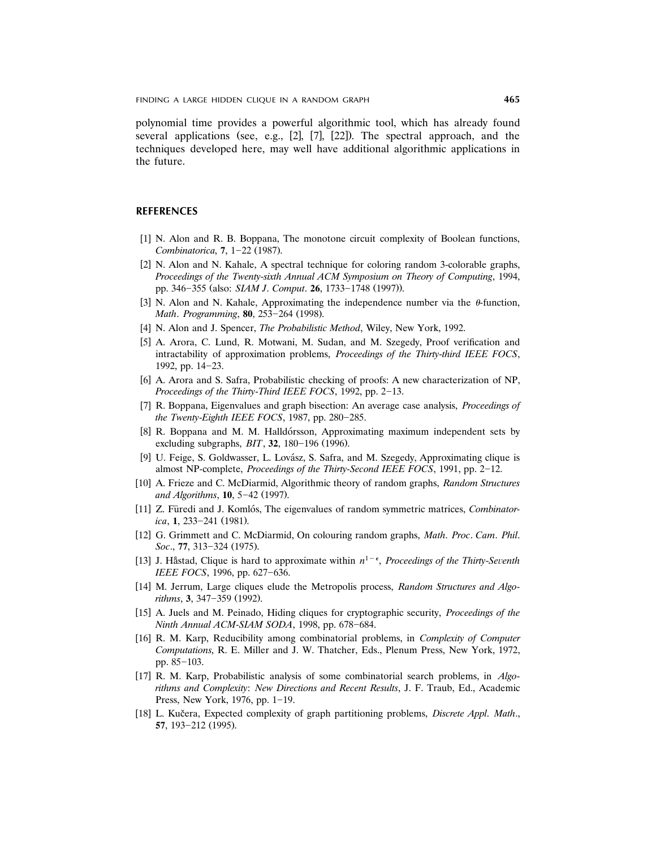FINDING A LARGE HIDDEN CLIQUE IN A RANDOM GRAPH **465**

polynomial time provides a powerful algorithmic tool, which has already found several applications (see, e.g.,  $[2]$ ,  $[7]$ ,  $[22]$ ). The spectral approach, and the techniques developed here, may well have additional algorithmic applications in the future.

### **REFERENCES**

- [1] N. Alon and R. B. Boppana, The monotone circuit complexity of Boolean functions, *Combinatorica*, **7**, 1–22 (1987).
- [2] N. Alon and N. Kahale, A spectral technique for coloring random 3-colorable graphs, *Proceedings of the Twenty*-*sixth Annual ACM Symposium on Theory of Computing*, 1994, pp. 346-355 (also: *SIAM J. Comput*. **26**, 1733-1748 (1997)).
- [3] N. Alon and N. Kahale, Approximating the independence number via the  $\theta$ -function, *Math. Programming*, **80**, 253-264 (1998).
- [4] N. Alon and J. Spencer, *The Probabilistic Method*, Wiley, New York, 1992.
- [5] A. Arora, C. Lund, R. Motwani, M. Sudan, and M. Szegedy, Proof verification and intractability of approximation problems, *Proceedings of the Thirty*-*third IEEE FOCS*, 1992, pp. 14-23.
- [6] A. Arora and S. Safra, Probabilistic checking of proofs: A new characterization of NP, *Proceedings of the Thirty-Third IEEE FOCS*, 1992, pp. 2-13.
- [7] R. Boppana, Eigenvalues and graph bisection: An average case analysis, *Proceedings of the Twenty-Eighth IEEE FOCS*, 1987, pp. 280-285.
- [8] R. Boppana and M. M. Halldórsson, Approximating maximum independent sets by excluding subgraphs, *BIT*, **32**, 180-196 (1996).
- [9] U. Feige, S. Goldwasser, L. Lovász, S. Safra, and M. Szegedy, Approximating clique is almost NP-complete, *Proceedings of the Thirty-Second IEEE FOCS*, 1991, pp. 2–12.
- [10] A. Frieze and C. McDiarmid, Algorithmic theory of random graphs, *Random Structures and Algorithms*, **10**, 5-42 (1997).
- [11] Z. Füredi and J. Komlós, The eigenvalues of random symmetric matrices, *Combinatorica*, 1, 233-241 (1981).
- w x 12 G. Grimmett and C. McDiarmid, On colouring random graphs, *Math*. *Proc*. *Cam*. *Phil*. *Soc.*, 77, 313-324 (1975).
- [13] J. Håstad, Clique is hard to approximate within  $n^{1-\epsilon}$ , *Proceedings of the Thirty-Seventh IEEE FOCS*, 1996, pp. 627-636.
- w x 14 M. Jerrum, Large cliques elude the Metropolis process, *Random Structures and Algorithms*, 3, 347–359 (1992).
- w x 15 A. Juels and M. Peinado, Hiding cliques for cryptographic security, *Proceedings of the Ninth Annual ACM-SIAM SODA*, 1998, pp. 678-684.
- [16] R. M. Karp, Reducibility among combinatorial problems, in *Complexity of Computer Computations*, R. E. Miller and J. W. Thatcher, Eds., Plenum Press, New York, 1972, pp.  $85-103$ .
- w x 17 R. M. Karp, Probabilistic analysis of some combinatorial search problems, in *Algorithms and Complexity*: *New Directions and Recent Results*, J. F. Traub, Ed., Academic Press, New York, 1976, pp.  $1-19$ .
- [18] L. Kučera, Expected complexity of graph partitioning problems, *Discrete Appl. Math.*, **57**, 193-212 (1995).